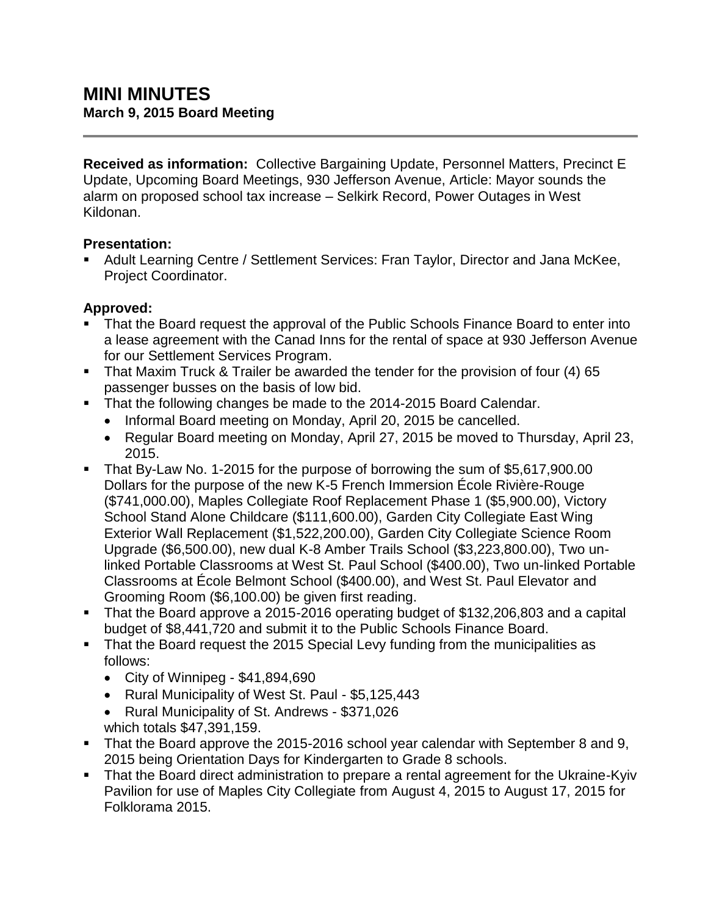**Received as information:** Collective Bargaining Update, Personnel Matters, Precinct E Update, Upcoming Board Meetings, 930 Jefferson Avenue, Article: Mayor sounds the alarm on proposed school tax increase – Selkirk Record, Power Outages in West Kildonan.

## **Presentation:**

 Adult Learning Centre / Settlement Services: Fran Taylor, Director and Jana McKee, Project Coordinator.

## **Approved:**

- That the Board request the approval of the Public Schools Finance Board to enter into a lease agreement with the Canad Inns for the rental of space at 930 Jefferson Avenue for our Settlement Services Program.
- That Maxim Truck & Trailer be awarded the tender for the provision of four (4) 65 passenger busses on the basis of low bid.
- That the following changes be made to the 2014-2015 Board Calendar.
	- Informal Board meeting on Monday, April 20, 2015 be cancelled.
	- Regular Board meeting on Monday, April 27, 2015 be moved to Thursday, April 23, 2015.
- That By-Law No. 1-2015 for the purpose of borrowing the sum of \$5,617,900.00 Dollars for the purpose of the new K-5 French Immersion École Rivière-Rouge (\$741,000.00), Maples Collegiate Roof Replacement Phase 1 (\$5,900.00), Victory School Stand Alone Childcare (\$111,600.00), Garden City Collegiate East Wing Exterior Wall Replacement (\$1,522,200.00), Garden City Collegiate Science Room Upgrade (\$6,500.00), new dual K-8 Amber Trails School (\$3,223,800.00), Two unlinked Portable Classrooms at West St. Paul School (\$400.00), Two un-linked Portable Classrooms at École Belmont School (\$400.00), and West St. Paul Elevator and Grooming Room (\$6,100.00) be given first reading.
- That the Board approve a 2015-2016 operating budget of \$132,206,803 and a capital budget of \$8,441,720 and submit it to the Public Schools Finance Board.
- That the Board request the 2015 Special Levy funding from the municipalities as follows:
	- City of Winnipeg  $$41,894,690$
	- Rural Municipality of West St. Paul \$5,125,443
	- Rural Municipality of St. Andrews \$371,026 which totals \$47,391,159.
- That the Board approve the 2015-2016 school year calendar with September 8 and 9, 2015 being Orientation Days for Kindergarten to Grade 8 schools.
- That the Board direct administration to prepare a rental agreement for the Ukraine-Kyiv Pavilion for use of Maples City Collegiate from August 4, 2015 to August 17, 2015 for Folklorama 2015.